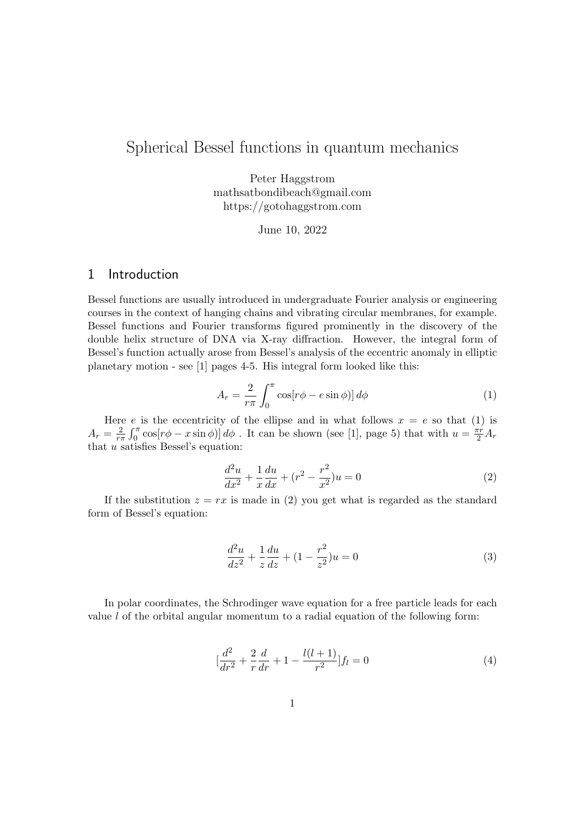## Spherical Bessel functions in quantum mechanics

Peter Haggstrom mathsatbondibeach@gmail.com https://gotohaggstrom.com

June 10, 2022

#### 1 Introduction

Bessel functions are usually introduced in undergraduate Fourier analysis or engineering courses in the context of hanging chains and vibrating circular membranes, for example. Bessel functions and Fourier transforms figured prominently in the discovery of the double helix structure of DNA via X-ray diffraction. However, the integral form of Bessel's function actually arose from Bessel's analysis of the eccentric anomaly in elliptic planetary motion - see [1] pages 4-5. His integral form looked like this:

$$
A_r = \frac{2}{r\pi} \int_0^{\pi} \cos[r\phi - e\sin\phi]] d\phi \tag{1}
$$

Here e is the eccentricity of the ellipse and in what follows  $x = e$  so that (1) is  $A_r = \frac{2}{r_1}$  $\frac{2}{r\pi} \int_0^\pi \cos[r\phi - x\sin\phi] d\phi$ . It can be shown (see [1], page 5) that with  $u = \frac{\pi r}{2} A_r$ that  $u$  satisfies Bessel's equation:

$$
\frac{d^2u}{dx^2} + \frac{1}{x}\frac{du}{dx} + (r^2 - \frac{r^2}{x^2})u = 0
$$
\n(2)

If the substitution  $z = rx$  is made in (2) you get what is regarded as the standard form of Bessel's equation:

$$
\frac{d^2u}{dz^2} + \frac{1}{z}\frac{du}{dz} + (1 - \frac{r^2}{z^2})u = 0
$$
\n(3)

In polar coordinates, the Schrodinger wave equation for a free particle leads for each value  $l$  of the orbital angular momentum to a radial equation of the following form:

$$
\left[\frac{d^2}{dr^2} + \frac{2}{r}\frac{d}{dr} + 1 - \frac{l(l+1)}{r^2}\right]f_l = 0\tag{4}
$$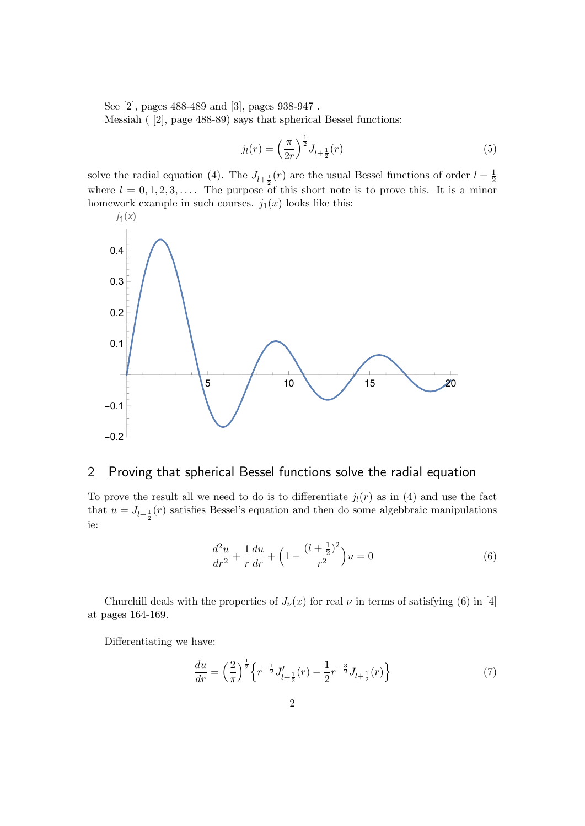See [2], pages 488-489 and [3], pages 938-947 .

Messiah ( [2], page 488-89) says that spherical Bessel functions:

$$
j_l(r) = \left(\frac{\pi}{2r}\right)^{\frac{1}{2}} J_{l+\frac{1}{2}}(r) \tag{5}
$$

solve the radial equation (4). The  $J_{l+\frac{1}{2}}(r)$  are the usual Bessel functions of order  $l+\frac{1}{2}$ where  $l = 0, 1, 2, 3, \ldots$ . The purpose of this short note is to prove this. It is a minor  $\overline{2}$ homework example in such courses.  $j_1(x)$  looks like this:



### 2 Proving that spherical Bessel functions solve the radial equation

To prove the result all we need to do is to differentiate  $j_l(r)$  as in (4) and use the fact that  $u = J_{l+\frac{1}{2}}(r)$  satisfies Bessel's equation and then do some algebbraic manipulations ie:

$$
\frac{d^2u}{dr^2} + \frac{1}{r}\frac{du}{dr} + \left(1 - \frac{(l + \frac{1}{2})^2}{r^2}\right)u = 0\tag{6}
$$

Churchill deals with the properties of  $J_{\nu}(x)$  for real  $\nu$  in terms of satisfying (6) in [4] at pages 164-169.

Differentiating we have:

$$
\frac{du}{dr} = \left(\frac{2}{\pi}\right)^{\frac{1}{2}} \left\{ r^{-\frac{1}{2}} J'_{l+\frac{1}{2}}(r) - \frac{1}{2} r^{-\frac{3}{2}} J_{l+\frac{1}{2}}(r) \right\} \tag{7}
$$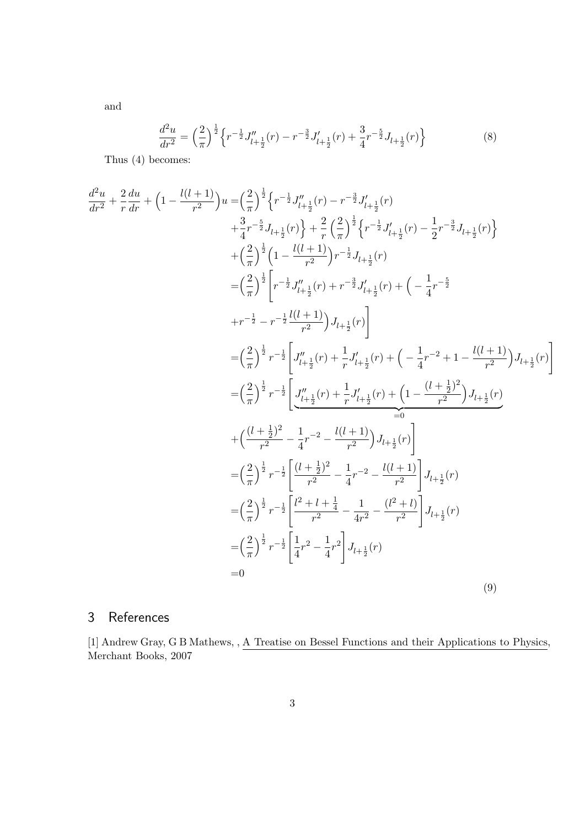$$
\frac{d^2u}{dr^2} = \left(\frac{2}{\pi}\right)^{\frac{1}{2}} \left\{ r^{-\frac{1}{2}} J''_{l+\frac{1}{2}}(r) - r^{-\frac{3}{2}} J'_{l+\frac{1}{2}}(r) + \frac{3}{4} r^{-\frac{5}{2}} J_{l+\frac{1}{2}}(r) \right\}
$$
(8)

Thus (4) becomes:

and

$$
\frac{d^2u}{dr^2} + \frac{2}{r}\frac{du}{dr} + \left(1 - \frac{l(l+1)}{r^2}\right)u = \left(\frac{2}{\pi}\right)^{\frac{1}{2}}\left\{r^{-\frac{1}{2}}J''_{l+\frac{1}{2}}(r) - r^{-\frac{3}{2}}J'_{l+\frac{1}{2}}(r)\right\}
$$
\n
$$
+ \frac{3}{4}r^{-\frac{5}{2}}J_{l+\frac{1}{2}}(r)\right\} + \frac{2}{r}\left(\frac{2}{\pi}\right)^{\frac{1}{2}}\left\{r^{-\frac{1}{2}}J'_{l+\frac{1}{2}}(r) - \frac{1}{2}r^{-\frac{3}{2}}J_{l+\frac{1}{2}}(r)\right\}
$$
\n
$$
+ \left(\frac{2}{\pi}\right)^{\frac{1}{2}}\left[1 - \frac{l(l+1)}{r^2}\right)r^{-\frac{1}{2}}J_{l+\frac{1}{2}}(r) + \left(-\frac{1}{4}r^{-\frac{5}{2}}
$$
\n
$$
+ r^{-\frac{1}{2}} - r^{-\frac{1}{2}}\frac{l(l+1)}{r^2}\right)J_{l+\frac{1}{2}}(r) + \left(-\frac{1}{4}r^{-\frac{5}{2}}
$$
\n
$$
+ r^{-\frac{1}{2}} - r^{-\frac{1}{2}}\frac{l(l+1)}{r^2}\right)J_{l+\frac{1}{2}}(r)\right]
$$
\n
$$
= \left(\frac{2}{\pi}\right)^{\frac{1}{2}}r^{-\frac{1}{2}}\left[J''_{l+\frac{1}{2}}(r) + \frac{1}{r}J'_{l+\frac{1}{2}}(r) + \left(-\frac{1}{4}r^{-2} + 1 - \frac{l(l+1)}{r^2}\right)J_{l+\frac{1}{2}}(r)\right]
$$
\n
$$
= \left(\frac{2}{\pi}\right)^{\frac{1}{2}}r^{-\frac{1}{2}}\left[J''_{l+\frac{1}{2}}(r) + \frac{1}{r}J'_{l+\frac{1}{2}}(r) + \left(1 - \frac{(l+\frac{1}{2})^2}{r^2}\right)J_{l+\frac{1}{2}}(r)\right]
$$
\n
$$
+ \left(\frac{(l+\frac{1}{2})^2}{r^2} - \frac{1}{4}r^{-2} - \frac{l(l
$$

# 3 References

[1] Andrew Gray, G B Mathews, , A Treatise on Bessel Functions and their Applications to Physics, Merchant Books, 2007